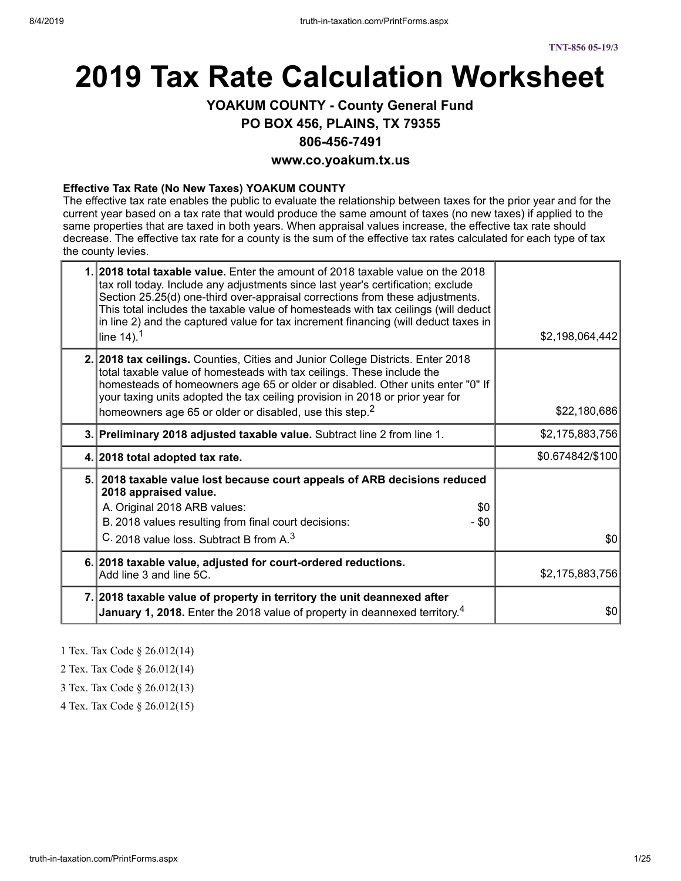# **2019 Tax Rate Calculation Worksheet**

# **YOAKUM COUNTY - County General Fund**

**PO BOX 456, PLAINS, TX 79355**

#### **806-456-7491**

#### **www.co.yoakum.tx.us**

#### **Effective Tax Rate (No New Taxes) YOAKUM COUNTY**

The effective tax rate enables the public to evaluate the relationship between taxes for the prior year and for the current year based on a tax rate that would produce the same amount of taxes (no new taxes) if applied to the same properties that are taxed in both years. When appraisal values increase, the effective tax rate should decrease. The effective tax rate for a county is the sum of the effective tax rates calculated for each type of tax the county levies.

| 1. 2018 total taxable value. Enter the amount of 2018 taxable value on the 2018<br>tax roll today. Include any adjustments since last year's certification; exclude<br>Section 25.25(d) one-third over-appraisal corrections from these adjustments.<br>This total includes the taxable value of homesteads with tax ceilings (will deduct<br>in line 2) and the captured value for tax increment financing (will deduct taxes in<br>line $14$ ). <sup>1</sup> | \$2,198,064,442  |
|----------------------------------------------------------------------------------------------------------------------------------------------------------------------------------------------------------------------------------------------------------------------------------------------------------------------------------------------------------------------------------------------------------------------------------------------------------------|------------------|
| 2. 2018 tax ceilings. Counties, Cities and Junior College Districts. Enter 2018<br>total taxable value of homesteads with tax ceilings. These include the<br>homesteads of homeowners age 65 or older or disabled. Other units enter "0" If<br>your taxing units adopted the tax ceiling provision in 2018 or prior year for<br>homeowners age 65 or older or disabled, use this step. <sup>2</sup>                                                            | \$22,180,686     |
| 3. Preliminary 2018 adjusted taxable value. Subtract line 2 from line 1.                                                                                                                                                                                                                                                                                                                                                                                       | \$2,175,883,756  |
| 4. 2018 total adopted tax rate.                                                                                                                                                                                                                                                                                                                                                                                                                                | \$0.674842/\$100 |
| 5. 2018 taxable value lost because court appeals of ARB decisions reduced<br>2018 appraised value.<br>A. Original 2018 ARB values:<br>\$0<br>B. 2018 values resulting from final court decisions:<br>- \$0<br>C. 2018 value loss. Subtract B from A. <sup>3</sup>                                                                                                                                                                                              | \$0              |
| 6. 2018 taxable value, adjusted for court-ordered reductions.<br>Add line 3 and line 5C.                                                                                                                                                                                                                                                                                                                                                                       | \$2,175,883,756  |
| 7. 2018 taxable value of property in territory the unit deannexed after<br>January 1, 2018. Enter the 2018 value of property in deannexed territory. <sup>4</sup>                                                                                                                                                                                                                                                                                              | \$0              |

1 Tex. Tax Code § 26.012(14)

2 Tex. Tax Code § 26.012(14)

3 Tex. Tax Code § 26.012(13)

4 Tex. Tax Code § 26.012(15)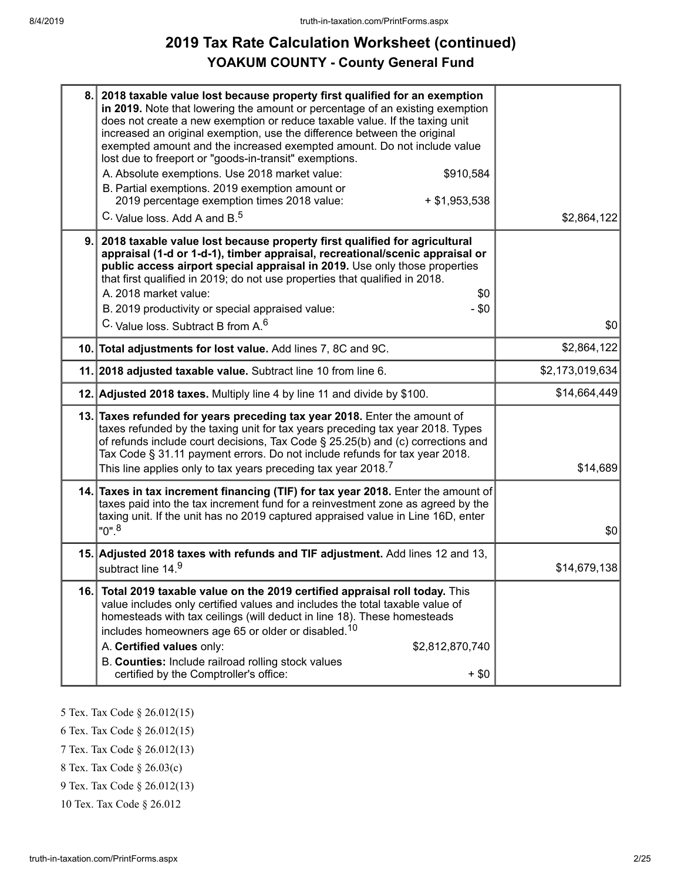# **2019 Tax Rate Calculation Worksheet (continued) YOAKUM COUNTY - County General Fund**

| 8.  | 2018 taxable value lost because property first qualified for an exemption<br>in 2019. Note that lowering the amount or percentage of an existing exemption<br>does not create a new exemption or reduce taxable value. If the taxing unit<br>increased an original exemption, use the difference between the original<br>exempted amount and the increased exempted amount. Do not include value<br>lost due to freeport or "goods-in-transit" exemptions.<br>A. Absolute exemptions. Use 2018 market value:<br>\$910,584<br>B. Partial exemptions. 2019 exemption amount or<br>2019 percentage exemption times 2018 value:<br>$+$ \$1,953,538<br>C. Value loss. Add A and B. <sup>5</sup> | \$2,864,122     |
|-----|--------------------------------------------------------------------------------------------------------------------------------------------------------------------------------------------------------------------------------------------------------------------------------------------------------------------------------------------------------------------------------------------------------------------------------------------------------------------------------------------------------------------------------------------------------------------------------------------------------------------------------------------------------------------------------------------|-----------------|
| 9.  | 2018 taxable value lost because property first qualified for agricultural<br>appraisal (1-d or 1-d-1), timber appraisal, recreational/scenic appraisal or<br>public access airport special appraisal in 2019. Use only those properties<br>that first qualified in 2019; do not use properties that qualified in 2018.<br>A. 2018 market value:<br>\$0<br>B. 2019 productivity or special appraised value:<br>$-$ \$0<br>C. Value loss. Subtract B from A. <sup>6</sup>                                                                                                                                                                                                                    | \$0             |
|     | 10. Total adjustments for lost value. Add lines 7, 8C and 9C.                                                                                                                                                                                                                                                                                                                                                                                                                                                                                                                                                                                                                              | \$2,864,122     |
|     | 11. 2018 adjusted taxable value. Subtract line 10 from line 6.                                                                                                                                                                                                                                                                                                                                                                                                                                                                                                                                                                                                                             | \$2,173,019,634 |
|     | 12. Adjusted 2018 taxes. Multiply line 4 by line 11 and divide by \$100.                                                                                                                                                                                                                                                                                                                                                                                                                                                                                                                                                                                                                   | \$14,664,449    |
|     | 13. Taxes refunded for years preceding tax year 2018. Enter the amount of<br>taxes refunded by the taxing unit for tax years preceding tax year 2018. Types<br>of refunds include court decisions, Tax Code § 25.25(b) and (c) corrections and<br>Tax Code § 31.11 payment errors. Do not include refunds for tax year 2018.<br>This line applies only to tax years preceding tax year 2018. <sup>7</sup>                                                                                                                                                                                                                                                                                  | \$14,689        |
|     | 14. Taxes in tax increment financing (TIF) for tax year 2018. Enter the amount of<br>taxes paid into the tax increment fund for a reinvestment zone as agreed by the<br>taxing unit. If the unit has no 2019 captured appraised value in Line 16D, enter<br>$"0"$ . <sup>8</sup>                                                                                                                                                                                                                                                                                                                                                                                                           | \$0             |
|     | 15. Adjusted 2018 taxes with refunds and TIF adjustment. Add lines 12 and 13,<br>subtract line 14.9                                                                                                                                                                                                                                                                                                                                                                                                                                                                                                                                                                                        | \$14,679,138    |
| 16. | Total 2019 taxable value on the 2019 certified appraisal roll today. This<br>value includes only certified values and includes the total taxable value of<br>homesteads with tax ceilings (will deduct in line 18). These homesteads<br>includes homeowners age 65 or older or disabled. <sup>10</sup><br>A. Certified values only:<br>\$2,812,870,740<br>B. Counties: Include railroad rolling stock values<br>certified by the Comptroller's office:<br>$+$ \$0                                                                                                                                                                                                                          |                 |

- 5 Tex. Tax Code § 26.012(15)
- 6 Tex. Tax Code § 26.012(15)
- 7 Tex. Tax Code § 26.012(13)
- 8 Tex. Tax Code § 26.03(c)
- 9 Tex. Tax Code § 26.012(13)
- 10 Tex. Tax Code § 26.012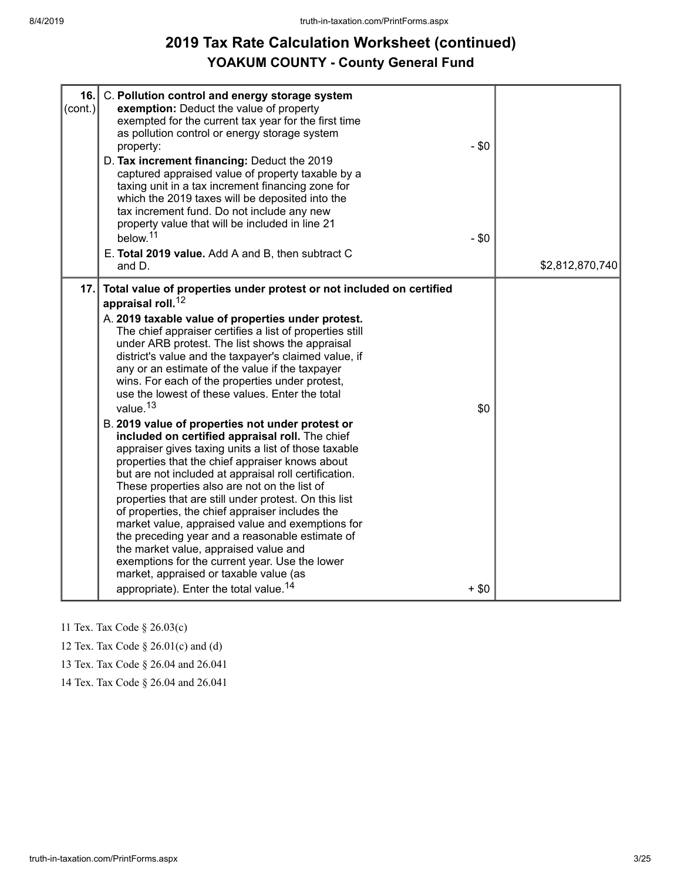# **2019 Tax Rate Calculation Worksheet (continued) YOAKUM COUNTY - County General Fund**

| (cont.) | 16. C. Pollution control and energy storage system<br>exemption: Deduct the value of property<br>exempted for the current tax year for the first time<br>as pollution control or energy storage system<br>property:<br>D. Tax increment financing: Deduct the 2019<br>captured appraised value of property taxable by a<br>taxing unit in a tax increment financing zone for<br>which the 2019 taxes will be deposited into the<br>tax increment fund. Do not include any new<br>property value that will be included in line 21<br>below. <sup>11</sup><br>E. Total 2019 value. Add A and B, then subtract C<br>and D.                                                                                                                                                                                                                                                                                                                                                                                                                                                                                                                                                                                                                                       | $-$ \$0<br>$-$ \$0 | \$2,812,870,740 |
|---------|---------------------------------------------------------------------------------------------------------------------------------------------------------------------------------------------------------------------------------------------------------------------------------------------------------------------------------------------------------------------------------------------------------------------------------------------------------------------------------------------------------------------------------------------------------------------------------------------------------------------------------------------------------------------------------------------------------------------------------------------------------------------------------------------------------------------------------------------------------------------------------------------------------------------------------------------------------------------------------------------------------------------------------------------------------------------------------------------------------------------------------------------------------------------------------------------------------------------------------------------------------------|--------------------|-----------------|
| 17.     | Total value of properties under protest or not included on certified<br>appraisal roll. <sup>12</sup><br>A. 2019 taxable value of properties under protest.<br>The chief appraiser certifies a list of properties still<br>under ARB protest. The list shows the appraisal<br>district's value and the taxpayer's claimed value, if<br>any or an estimate of the value if the taxpayer<br>wins. For each of the properties under protest,<br>use the lowest of these values. Enter the total<br>value. <sup>13</sup><br>B. 2019 value of properties not under protest or<br>included on certified appraisal roll. The chief<br>appraiser gives taxing units a list of those taxable<br>properties that the chief appraiser knows about<br>but are not included at appraisal roll certification.<br>These properties also are not on the list of<br>properties that are still under protest. On this list<br>of properties, the chief appraiser includes the<br>market value, appraised value and exemptions for<br>the preceding year and a reasonable estimate of<br>the market value, appraised value and<br>exemptions for the current year. Use the lower<br>market, appraised or taxable value (as<br>appropriate). Enter the total value. <sup>14</sup> | \$0<br>$+$ \$0     |                 |

11 Tex. Tax Code § 26.03(c)

12 Tex. Tax Code § 26.01(c) and (d)

13 Tex. Tax Code § 26.04 and 26.041

14 Tex. Tax Code § 26.04 and 26.041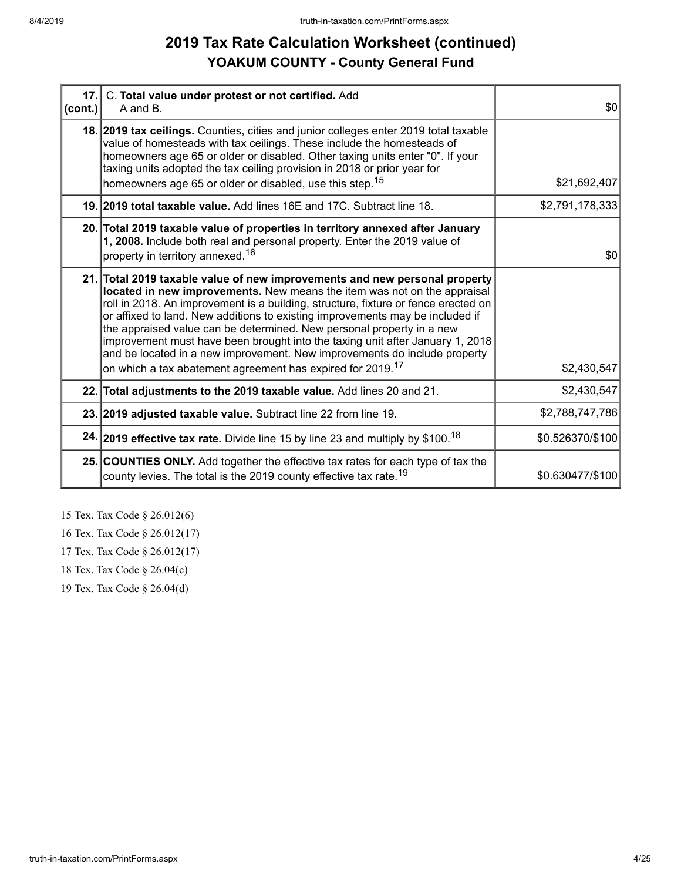# **2019 Tax Rate Calculation Worksheet (continued) YOAKUM COUNTY - County General Fund**

| 17.1<br>(cont.) | C. Total value under protest or not certified. Add<br>A and B.                                                                                                                                                                                                                                                                                                                                                                                                                                                                                                                                                                                 | \$0              |
|-----------------|------------------------------------------------------------------------------------------------------------------------------------------------------------------------------------------------------------------------------------------------------------------------------------------------------------------------------------------------------------------------------------------------------------------------------------------------------------------------------------------------------------------------------------------------------------------------------------------------------------------------------------------------|------------------|
|                 | 18. 2019 tax ceilings. Counties, cities and junior colleges enter 2019 total taxable<br>value of homesteads with tax ceilings. These include the homesteads of<br>homeowners age 65 or older or disabled. Other taxing units enter "0". If your<br>taxing units adopted the tax ceiling provision in 2018 or prior year for<br>homeowners age 65 or older or disabled, use this step. <sup>15</sup>                                                                                                                                                                                                                                            | \$21,692,407     |
|                 | 19. 2019 total taxable value. Add lines 16E and 17C. Subtract line 18.                                                                                                                                                                                                                                                                                                                                                                                                                                                                                                                                                                         | \$2,791,178,333  |
|                 | 20. Total 2019 taxable value of properties in territory annexed after January<br>1, 2008. Include both real and personal property. Enter the 2019 value of<br>property in territory annexed. <sup>16</sup>                                                                                                                                                                                                                                                                                                                                                                                                                                     | \$0              |
|                 | 21. Total 2019 taxable value of new improvements and new personal property<br>located in new improvements. New means the item was not on the appraisal<br>roll in 2018. An improvement is a building, structure, fixture or fence erected on<br>or affixed to land. New additions to existing improvements may be included if<br>the appraised value can be determined. New personal property in a new<br>improvement must have been brought into the taxing unit after January 1, 2018<br>and be located in a new improvement. New improvements do include property<br>on which a tax abatement agreement has expired for 2019. <sup>17</sup> | \$2,430,547      |
|                 | 22. Total adjustments to the 2019 taxable value. Add lines 20 and 21.                                                                                                                                                                                                                                                                                                                                                                                                                                                                                                                                                                          | \$2,430,547      |
|                 | 23. 2019 adjusted taxable value. Subtract line 22 from line 19.                                                                                                                                                                                                                                                                                                                                                                                                                                                                                                                                                                                | \$2,788,747,786  |
|                 | 24. 2019 effective tax rate. Divide line 15 by line 23 and multiply by \$100. <sup>18</sup>                                                                                                                                                                                                                                                                                                                                                                                                                                                                                                                                                    | \$0.526370/\$100 |
|                 | 25. COUNTIES ONLY. Add together the effective tax rates for each type of tax the<br>county levies. The total is the 2019 county effective tax rate. <sup>19</sup>                                                                                                                                                                                                                                                                                                                                                                                                                                                                              | \$0.630477/\$100 |

15 Tex. Tax Code § 26.012(6)

16 Tex. Tax Code § 26.012(17)

17 Tex. Tax Code § 26.012(17)

18 Tex. Tax Code § 26.04(c)

19 Tex. Tax Code § 26.04(d)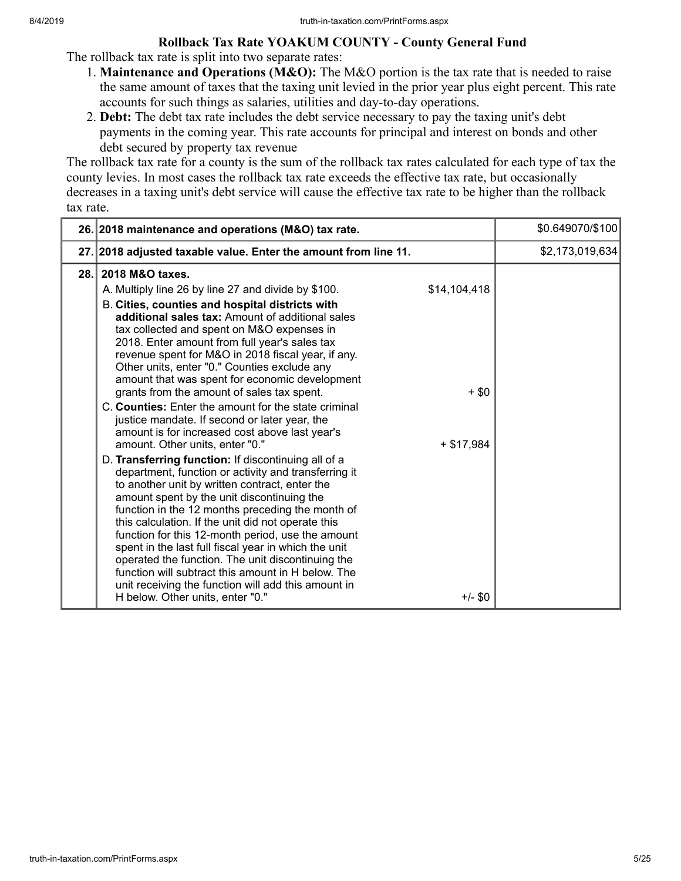## **Rollback Tax Rate YOAKUM COUNTY - County General Fund**

The rollback tax rate is split into two separate rates:

- 1. **Maintenance and Operations (M&O):** The M&O portion is the tax rate that is needed to raise the same amount of taxes that the taxing unit levied in the prior year plus eight percent. This rate accounts for such things as salaries, utilities and day-to-day operations.
- 2. **Debt:** The debt tax rate includes the debt service necessary to pay the taxing unit's debt payments in the coming year. This rate accounts for principal and interest on bonds and other debt secured by property tax revenue

The rollback tax rate for a county is the sum of the rollback tax rates calculated for each type of tax the county levies. In most cases the rollback tax rate exceeds the effective tax rate, but occasionally decreases in a taxing unit's debt service will cause the effective tax rate to be higher than the rollback tax rate.

|      | 26. 2018 maintenance and operations (M&O) tax rate.                                                                                                                                                                                                                                                                                                                                                                                                                                                                                                                                                                                                                                                                                                                                                                                                                                                                                                                                                                                                                                                                                                                                                                                                                                                                                 | \$0.649070/\$100 |
|------|-------------------------------------------------------------------------------------------------------------------------------------------------------------------------------------------------------------------------------------------------------------------------------------------------------------------------------------------------------------------------------------------------------------------------------------------------------------------------------------------------------------------------------------------------------------------------------------------------------------------------------------------------------------------------------------------------------------------------------------------------------------------------------------------------------------------------------------------------------------------------------------------------------------------------------------------------------------------------------------------------------------------------------------------------------------------------------------------------------------------------------------------------------------------------------------------------------------------------------------------------------------------------------------------------------------------------------------|------------------|
|      | 27. 2018 adjusted taxable value. Enter the amount from line 11.                                                                                                                                                                                                                                                                                                                                                                                                                                                                                                                                                                                                                                                                                                                                                                                                                                                                                                                                                                                                                                                                                                                                                                                                                                                                     | \$2,173,019,634  |
| 28.1 | 2018 M&O taxes.<br>\$14,104,418<br>A. Multiply line 26 by line 27 and divide by \$100.<br>B. Cities, counties and hospital districts with<br>additional sales tax: Amount of additional sales<br>tax collected and spent on M&O expenses in<br>2018. Enter amount from full year's sales tax<br>revenue spent for M&O in 2018 fiscal year, if any.<br>Other units, enter "0." Counties exclude any<br>amount that was spent for economic development<br>grants from the amount of sales tax spent.<br>$+$ \$0<br>C. Counties: Enter the amount for the state criminal<br>justice mandate. If second or later year, the<br>amount is for increased cost above last year's<br>amount. Other units, enter "0."<br>$+$ \$17,984<br>D. Transferring function: If discontinuing all of a<br>department, function or activity and transferring it<br>to another unit by written contract, enter the<br>amount spent by the unit discontinuing the<br>function in the 12 months preceding the month of<br>this calculation. If the unit did not operate this<br>function for this 12-month period, use the amount<br>spent in the last full fiscal year in which the unit<br>operated the function. The unit discontinuing the<br>function will subtract this amount in H below. The<br>unit receiving the function will add this amount in |                  |
|      | $+/-$ \$0<br>H below. Other units, enter "0."                                                                                                                                                                                                                                                                                                                                                                                                                                                                                                                                                                                                                                                                                                                                                                                                                                                                                                                                                                                                                                                                                                                                                                                                                                                                                       |                  |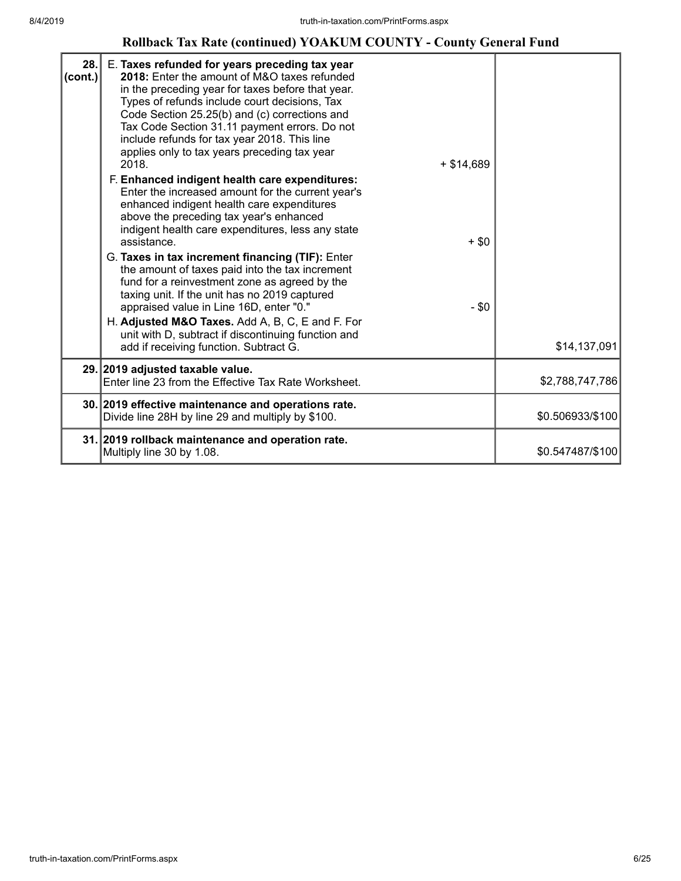# **Rollback Tax Rate (continued) YOAKUM COUNTY - County General Fund**

| 28.<br>(cont.) | E. Taxes refunded for years preceding tax year<br>2018: Enter the amount of M&O taxes refunded<br>in the preceding year for taxes before that year.<br>Types of refunds include court decisions, Tax<br>Code Section 25.25(b) and (c) corrections and<br>Tax Code Section 31.11 payment errors. Do not<br>include refunds for tax year 2018. This line<br>applies only to tax years preceding tax year<br>2018.<br>$+ $14,689$<br>F. Enhanced indigent health care expenditures:<br>Enter the increased amount for the current year's<br>enhanced indigent health care expenditures<br>above the preceding tax year's enhanced<br>indigent health care expenditures, less any state<br>$+$ \$0<br>assistance.<br>G. Taxes in tax increment financing (TIF): Enter<br>the amount of taxes paid into the tax increment<br>fund for a reinvestment zone as agreed by the<br>taxing unit. If the unit has no 2019 captured<br>$-$ \$0<br>appraised value in Line 16D, enter "0."<br>H. Adjusted M&O Taxes. Add A, B, C, E and F. For<br>unit with D, subtract if discontinuing function and<br>add if receiving function. Subtract G. | \$14,137,091     |
|----------------|-----------------------------------------------------------------------------------------------------------------------------------------------------------------------------------------------------------------------------------------------------------------------------------------------------------------------------------------------------------------------------------------------------------------------------------------------------------------------------------------------------------------------------------------------------------------------------------------------------------------------------------------------------------------------------------------------------------------------------------------------------------------------------------------------------------------------------------------------------------------------------------------------------------------------------------------------------------------------------------------------------------------------------------------------------------------------------------------------------------------------------------|------------------|
|                | 29. 2019 adjusted taxable value.<br>Enter line 23 from the Effective Tax Rate Worksheet.                                                                                                                                                                                                                                                                                                                                                                                                                                                                                                                                                                                                                                                                                                                                                                                                                                                                                                                                                                                                                                          | \$2,788,747,786  |
|                | 30. 2019 effective maintenance and operations rate.<br>Divide line 28H by line 29 and multiply by \$100.                                                                                                                                                                                                                                                                                                                                                                                                                                                                                                                                                                                                                                                                                                                                                                                                                                                                                                                                                                                                                          | \$0.506933/\$100 |
|                | 31. 2019 rollback maintenance and operation rate.<br>Multiply line 30 by 1.08.                                                                                                                                                                                                                                                                                                                                                                                                                                                                                                                                                                                                                                                                                                                                                                                                                                                                                                                                                                                                                                                    | \$0.547487/\$100 |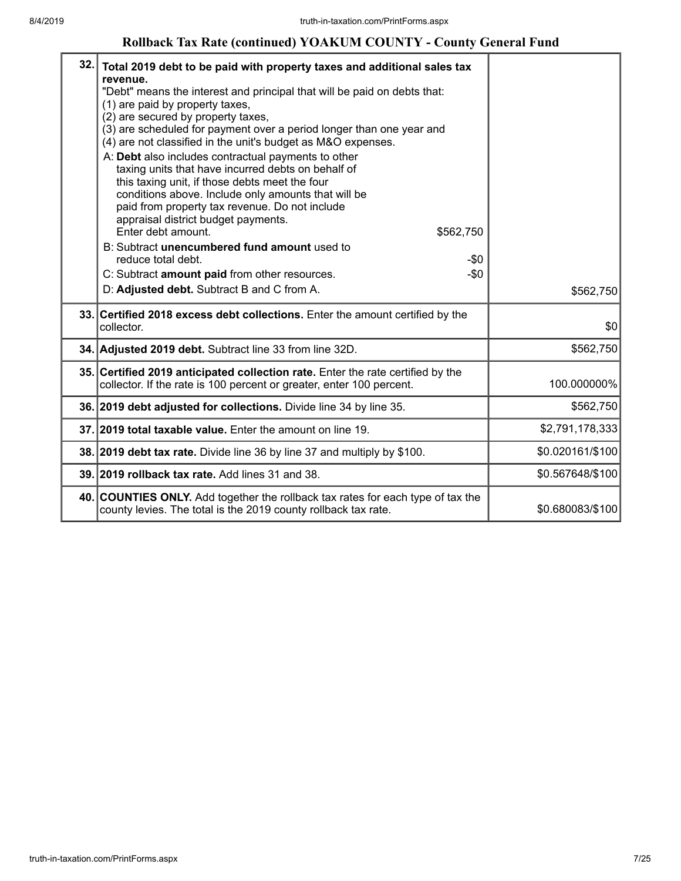# **Rollback Tax Rate (continued) YOAKUM COUNTY - County General Fund**

| 32. | Total 2019 debt to be paid with property taxes and additional sales tax<br>revenue.<br>"Debt" means the interest and principal that will be paid on debts that:<br>(1) are paid by property taxes,<br>(2) are secured by property taxes,<br>(3) are scheduled for payment over a period longer than one year and<br>(4) are not classified in the unit's budget as M&O expenses.<br>A: Debt also includes contractual payments to other<br>taxing units that have incurred debts on behalf of<br>this taxing unit, if those debts meet the four<br>conditions above. Include only amounts that will be<br>paid from property tax revenue. Do not include<br>appraisal district budget payments.<br>Enter debt amount.<br>\$562,750<br>B: Subtract unencumbered fund amount used to<br>reduce total debt.<br>$-\$0$<br>$-\$0$<br>C: Subtract amount paid from other resources.<br>D: Adjusted debt. Subtract B and C from A. | \$562,750        |
|-----|-----------------------------------------------------------------------------------------------------------------------------------------------------------------------------------------------------------------------------------------------------------------------------------------------------------------------------------------------------------------------------------------------------------------------------------------------------------------------------------------------------------------------------------------------------------------------------------------------------------------------------------------------------------------------------------------------------------------------------------------------------------------------------------------------------------------------------------------------------------------------------------------------------------------------------|------------------|
|     | 33. Certified 2018 excess debt collections. Enter the amount certified by the<br>collector.                                                                                                                                                                                                                                                                                                                                                                                                                                                                                                                                                                                                                                                                                                                                                                                                                                 | \$0              |
|     | 34. Adjusted 2019 debt. Subtract line 33 from line 32D.                                                                                                                                                                                                                                                                                                                                                                                                                                                                                                                                                                                                                                                                                                                                                                                                                                                                     | \$562,750        |
|     | 35. Certified 2019 anticipated collection rate. Enter the rate certified by the<br>collector. If the rate is 100 percent or greater, enter 100 percent.                                                                                                                                                                                                                                                                                                                                                                                                                                                                                                                                                                                                                                                                                                                                                                     | 100.000000%      |
|     | 36. 2019 debt adjusted for collections. Divide line 34 by line 35.                                                                                                                                                                                                                                                                                                                                                                                                                                                                                                                                                                                                                                                                                                                                                                                                                                                          | \$562,750        |
|     | 37. 2019 total taxable value. Enter the amount on line 19.                                                                                                                                                                                                                                                                                                                                                                                                                                                                                                                                                                                                                                                                                                                                                                                                                                                                  | \$2,791,178,333  |
|     | 38. 2019 debt tax rate. Divide line 36 by line 37 and multiply by \$100.                                                                                                                                                                                                                                                                                                                                                                                                                                                                                                                                                                                                                                                                                                                                                                                                                                                    | \$0.020161/\$100 |
|     | 39. 2019 rollback tax rate. Add lines 31 and 38.                                                                                                                                                                                                                                                                                                                                                                                                                                                                                                                                                                                                                                                                                                                                                                                                                                                                            | \$0.567648/\$100 |
|     | 40. COUNTIES ONLY. Add together the rollback tax rates for each type of tax the<br>county levies. The total is the 2019 county rollback tax rate.                                                                                                                                                                                                                                                                                                                                                                                                                                                                                                                                                                                                                                                                                                                                                                           | \$0.680083/\$100 |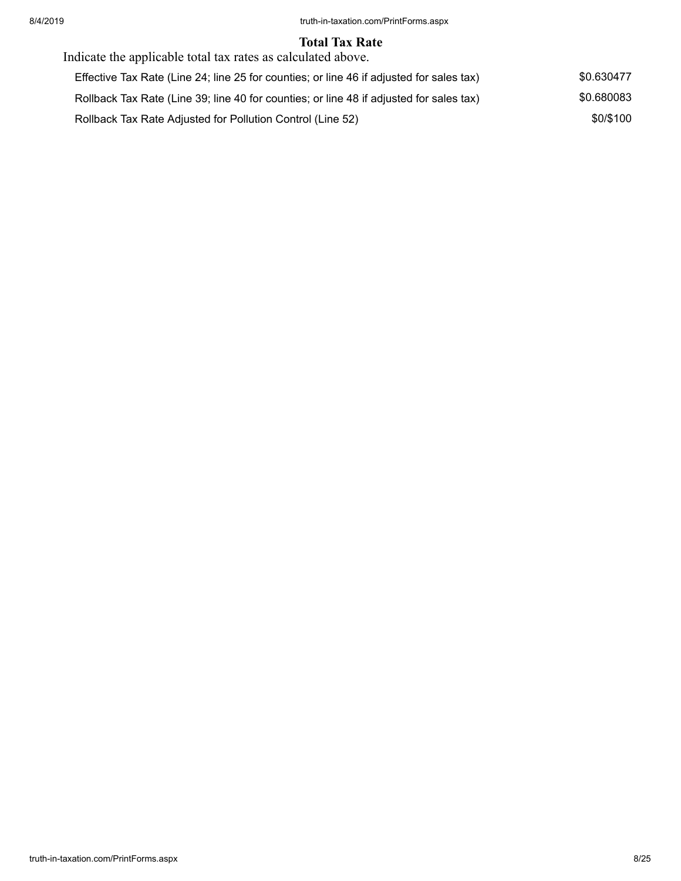#### **Total Tax Rate**

| Indicate the applicable total tax rates as calculated above.                             |            |
|------------------------------------------------------------------------------------------|------------|
| Effective Tax Rate (Line 24; line 25 for counties; or line 46 if adjusted for sales tax) | \$0.630477 |
| Rollback Tax Rate (Line 39; line 40 for counties; or line 48 if adjusted for sales tax)  | \$0.680083 |
| Rollback Tax Rate Adjusted for Pollution Control (Line 52)                               | \$0/\$100  |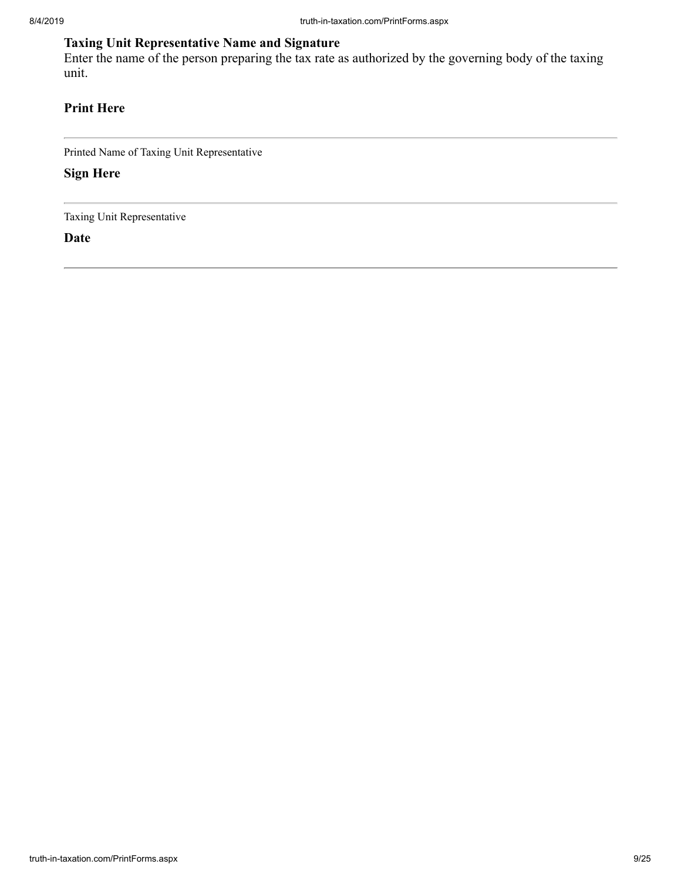# **Taxing Unit Representative Name and Signature**

Enter the name of the person preparing the tax rate as authorized by the governing body of the taxing unit.

# **Print Here**

Printed Name of Taxing Unit Representative

**Sign Here**

Taxing Unit Representative

**Date**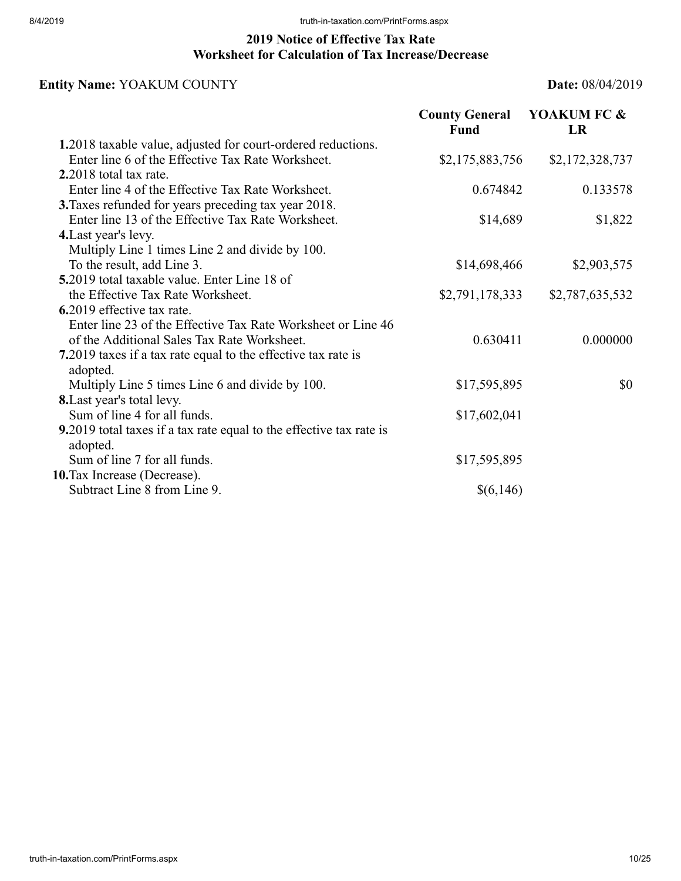# **2019 Notice of Effective Tax Rate Worksheet for Calculation of Tax Increase/Decrease**

# **Entity Name:** YOAKUM COUNTY **Date:** 08/04/2019

|                                                                                 | <b>County General</b><br>Fund | YOAKUM FC &<br><b>LR</b> |
|---------------------------------------------------------------------------------|-------------------------------|--------------------------|
| 1.2018 taxable value, adjusted for court-ordered reductions.                    |                               |                          |
| Enter line 6 of the Effective Tax Rate Worksheet.                               | \$2,175,883,756               | \$2,172,328,737          |
| $2.2018$ total tax rate.                                                        |                               |                          |
| Enter line 4 of the Effective Tax Rate Worksheet.                               | 0.674842                      | 0.133578                 |
| 3. Taxes refunded for years preceding tax year 2018.                            |                               |                          |
| Enter line 13 of the Effective Tax Rate Worksheet.                              | \$14,689                      | \$1,822                  |
| 4. Last year's levy.                                                            |                               |                          |
| Multiply Line 1 times Line 2 and divide by 100.                                 |                               |                          |
| To the result, add Line 3.                                                      | \$14,698,466                  | \$2,903,575              |
| 5.2019 total taxable value. Enter Line 18 of                                    |                               |                          |
| the Effective Tax Rate Worksheet.                                               | \$2,791,178,333               | \$2,787,635,532          |
| 6.2019 effective tax rate.                                                      |                               |                          |
| Enter line 23 of the Effective Tax Rate Worksheet or Line 46                    |                               |                          |
| of the Additional Sales Tax Rate Worksheet.                                     | 0.630411                      | 0.000000                 |
| 7.2019 taxes if a tax rate equal to the effective tax rate is                   |                               |                          |
| adopted.                                                                        |                               |                          |
| Multiply Line 5 times Line 6 and divide by 100.                                 | \$17,595,895                  | \$0                      |
| 8. Last year's total levy.                                                      |                               |                          |
| Sum of line 4 for all funds.                                                    | \$17,602,041                  |                          |
| 9.2019 total taxes if a tax rate equal to the effective tax rate is<br>adopted. |                               |                          |
| Sum of line 7 for all funds.                                                    | \$17,595,895                  |                          |
| 10. Tax Increase (Decrease).                                                    |                               |                          |
| Subtract Line 8 from Line 9.                                                    | \$(6,146)                     |                          |
|                                                                                 |                               |                          |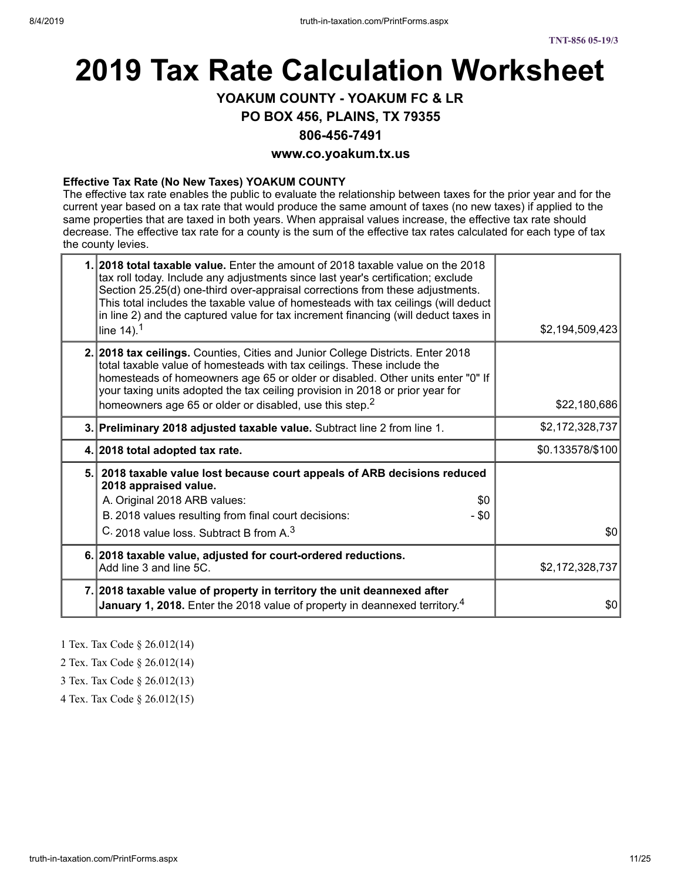# **2019 Tax Rate Calculation Worksheet**

# **YOAKUM COUNTY - YOAKUM FC & LR**

#### **PO BOX 456, PLAINS, TX 79355**

#### **806-456-7491**

#### **www.co.yoakum.tx.us**

#### **Effective Tax Rate (No New Taxes) YOAKUM COUNTY**

The effective tax rate enables the public to evaluate the relationship between taxes for the prior year and for the current year based on a tax rate that would produce the same amount of taxes (no new taxes) if applied to the same properties that are taxed in both years. When appraisal values increase, the effective tax rate should decrease. The effective tax rate for a county is the sum of the effective tax rates calculated for each type of tax the county levies.

| 1. 2018 total taxable value. Enter the amount of 2018 taxable value on the 2018<br>tax roll today. Include any adjustments since last year's certification; exclude<br>Section 25.25(d) one-third over-appraisal corrections from these adjustments.<br>This total includes the taxable value of homesteads with tax ceilings (will deduct<br>in line 2) and the captured value for tax increment financing (will deduct taxes in<br>line $14$ ). <sup>1</sup> | \$2,194,509,423  |
|----------------------------------------------------------------------------------------------------------------------------------------------------------------------------------------------------------------------------------------------------------------------------------------------------------------------------------------------------------------------------------------------------------------------------------------------------------------|------------------|
| 2. 2018 tax ceilings. Counties, Cities and Junior College Districts. Enter 2018<br>total taxable value of homesteads with tax ceilings. These include the<br>homesteads of homeowners age 65 or older or disabled. Other units enter "0" If<br>your taxing units adopted the tax ceiling provision in 2018 or prior year for<br>homeowners age 65 or older or disabled, use this step. <sup>2</sup>                                                            | \$22,180,686     |
| 3. Preliminary 2018 adjusted taxable value. Subtract line 2 from line 1.                                                                                                                                                                                                                                                                                                                                                                                       | \$2,172,328,737  |
| 4. 2018 total adopted tax rate.                                                                                                                                                                                                                                                                                                                                                                                                                                | \$0.133578/\$100 |
| 5. 2018 taxable value lost because court appeals of ARB decisions reduced<br>2018 appraised value.<br>A. Original 2018 ARB values:<br>\$0<br>B. 2018 values resulting from final court decisions:<br>- \$0<br>C. 2018 value loss. Subtract B from A. <sup>3</sup>                                                                                                                                                                                              | \$0              |
| 6. 2018 taxable value, adjusted for court-ordered reductions.<br>Add line 3 and line 5C.                                                                                                                                                                                                                                                                                                                                                                       | \$2,172,328,737  |
| 7. 2018 taxable value of property in territory the unit deannexed after<br>January 1, 2018. Enter the 2018 value of property in deannexed territory. <sup>4</sup>                                                                                                                                                                                                                                                                                              | \$0              |

1 Tex. Tax Code § 26.012(14)

2 Tex. Tax Code § 26.012(14)

3 Tex. Tax Code § 26.012(13)

4 Tex. Tax Code § 26.012(15)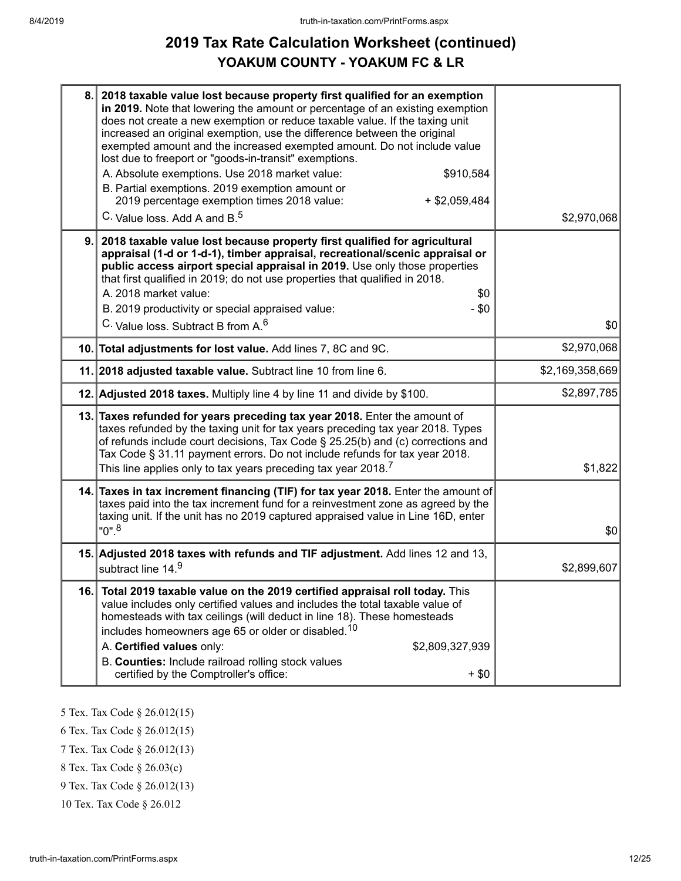# **2019 Tax Rate Calculation Worksheet (continued) YOAKUM COUNTY - YOAKUM FC & LR**

| 8.  | 2018 taxable value lost because property first qualified for an exemption<br>in 2019. Note that lowering the amount or percentage of an existing exemption<br>does not create a new exemption or reduce taxable value. If the taxing unit<br>increased an original exemption, use the difference between the original<br>exempted amount and the increased exempted amount. Do not include value<br>lost due to freeport or "goods-in-transit" exemptions.<br>A. Absolute exemptions. Use 2018 market value:<br>\$910,584<br>B. Partial exemptions. 2019 exemption amount or<br>2019 percentage exemption times 2018 value:<br>$+$ \$2,059,484<br>C. Value loss. Add A and B. <sup>5</sup> | \$2,970,068     |
|-----|--------------------------------------------------------------------------------------------------------------------------------------------------------------------------------------------------------------------------------------------------------------------------------------------------------------------------------------------------------------------------------------------------------------------------------------------------------------------------------------------------------------------------------------------------------------------------------------------------------------------------------------------------------------------------------------------|-----------------|
| 9.  | 2018 taxable value lost because property first qualified for agricultural<br>appraisal (1-d or 1-d-1), timber appraisal, recreational/scenic appraisal or<br>public access airport special appraisal in 2019. Use only those properties<br>that first qualified in 2019; do not use properties that qualified in 2018.<br>A. 2018 market value:<br>\$0<br>B. 2019 productivity or special appraised value:<br>$-$ \$0<br>C. Value loss. Subtract B from A. <sup>6</sup>                                                                                                                                                                                                                    | \$0             |
|     | 10. Total adjustments for lost value. Add lines 7, 8C and 9C.                                                                                                                                                                                                                                                                                                                                                                                                                                                                                                                                                                                                                              | \$2,970,068     |
|     | 11. 2018 adjusted taxable value. Subtract line 10 from line 6.                                                                                                                                                                                                                                                                                                                                                                                                                                                                                                                                                                                                                             | \$2,169,358,669 |
|     | 12. Adjusted 2018 taxes. Multiply line 4 by line 11 and divide by \$100.                                                                                                                                                                                                                                                                                                                                                                                                                                                                                                                                                                                                                   | \$2,897,785     |
|     | 13. Taxes refunded for years preceding tax year 2018. Enter the amount of<br>taxes refunded by the taxing unit for tax years preceding tax year 2018. Types<br>of refunds include court decisions, Tax Code § 25.25(b) and (c) corrections and<br>Tax Code § 31.11 payment errors. Do not include refunds for tax year 2018.<br>This line applies only to tax years preceding tax year 2018. <sup>7</sup>                                                                                                                                                                                                                                                                                  | \$1,822         |
|     | 14. Taxes in tax increment financing (TIF) for tax year 2018. Enter the amount of<br>taxes paid into the tax increment fund for a reinvestment zone as agreed by the<br>taxing unit. If the unit has no 2019 captured appraised value in Line 16D, enter<br>$"0"$ . <sup>8</sup>                                                                                                                                                                                                                                                                                                                                                                                                           | \$0             |
|     | 15. Adjusted 2018 taxes with refunds and TIF adjustment. Add lines 12 and 13,<br>subtract line 14.9                                                                                                                                                                                                                                                                                                                                                                                                                                                                                                                                                                                        | \$2,899,607     |
| 16. | Total 2019 taxable value on the 2019 certified appraisal roll today. This<br>value includes only certified values and includes the total taxable value of<br>homesteads with tax ceilings (will deduct in line 18). These homesteads<br>includes homeowners age 65 or older or disabled. <sup>10</sup><br>A. Certified values only:<br>\$2,809,327,939<br>B. Counties: Include railroad rolling stock values<br>certified by the Comptroller's office:<br>$+$ \$0                                                                                                                                                                                                                          |                 |

5 Tex. Tax Code § 26.012(15)

6 Tex. Tax Code § 26.012(15)

7 Tex. Tax Code § 26.012(13)

8 Tex. Tax Code § 26.03(c)

9 Tex. Tax Code § 26.012(13)

10 Tex. Tax Code § 26.012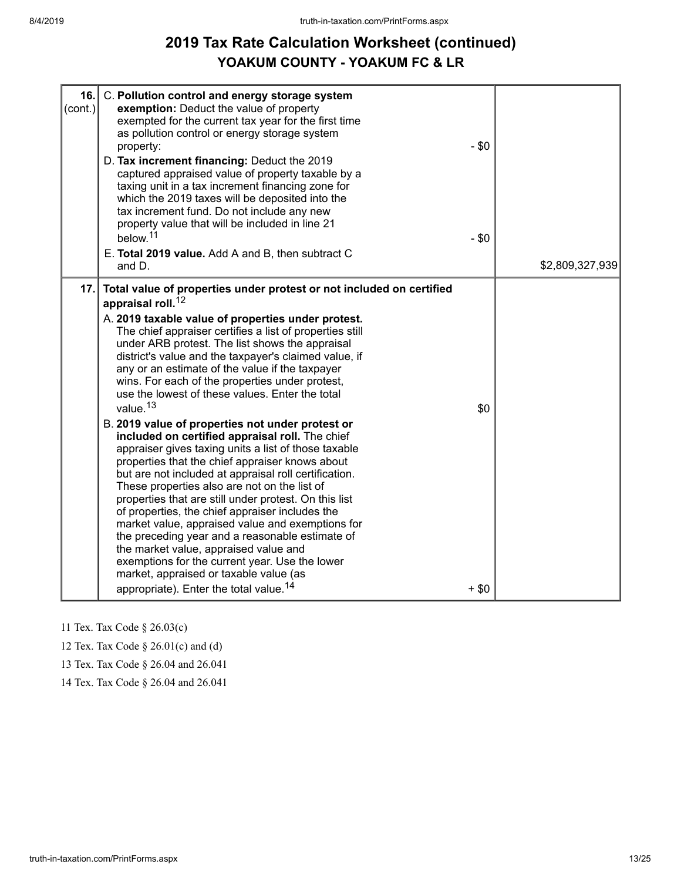# **2019 Tax Rate Calculation Worksheet (continued) YOAKUM COUNTY - YOAKUM FC & LR**

| 16.<br>$\textsf{(cont.)}  $ | C. Pollution control and energy storage system<br>exemption: Deduct the value of property<br>exempted for the current tax year for the first time<br>as pollution control or energy storage system<br>property:<br>D. Tax increment financing: Deduct the 2019<br>captured appraised value of property taxable by a<br>taxing unit in a tax increment financing zone for<br>which the 2019 taxes will be deposited into the<br>tax increment fund. Do not include any new<br>property value that will be included in line 21<br>below. <sup>11</sup><br>E. Total 2019 value. Add A and B, then subtract C<br>and D.                                                                                                                                                                                                                                                                                                                                                                                                                                                                                                                                                                                                                                           | $-$ \$0<br>$-$ \$0 | \$2,809,327,939 |
|-----------------------------|---------------------------------------------------------------------------------------------------------------------------------------------------------------------------------------------------------------------------------------------------------------------------------------------------------------------------------------------------------------------------------------------------------------------------------------------------------------------------------------------------------------------------------------------------------------------------------------------------------------------------------------------------------------------------------------------------------------------------------------------------------------------------------------------------------------------------------------------------------------------------------------------------------------------------------------------------------------------------------------------------------------------------------------------------------------------------------------------------------------------------------------------------------------------------------------------------------------------------------------------------------------|--------------------|-----------------|
| 17.                         | Total value of properties under protest or not included on certified<br>appraisal roll. <sup>12</sup><br>A. 2019 taxable value of properties under protest.<br>The chief appraiser certifies a list of properties still<br>under ARB protest. The list shows the appraisal<br>district's value and the taxpayer's claimed value, if<br>any or an estimate of the value if the taxpayer<br>wins. For each of the properties under protest,<br>use the lowest of these values. Enter the total<br>value. <sup>13</sup><br>B. 2019 value of properties not under protest or<br>included on certified appraisal roll. The chief<br>appraiser gives taxing units a list of those taxable<br>properties that the chief appraiser knows about<br>but are not included at appraisal roll certification.<br>These properties also are not on the list of<br>properties that are still under protest. On this list<br>of properties, the chief appraiser includes the<br>market value, appraised value and exemptions for<br>the preceding year and a reasonable estimate of<br>the market value, appraised value and<br>exemptions for the current year. Use the lower<br>market, appraised or taxable value (as<br>appropriate). Enter the total value. <sup>14</sup> | \$0<br>$+$ \$0     |                 |

11 Tex. Tax Code § 26.03(c)

12 Tex. Tax Code § 26.01(c) and (d)

13 Tex. Tax Code § 26.04 and 26.041

14 Tex. Tax Code § 26.04 and 26.041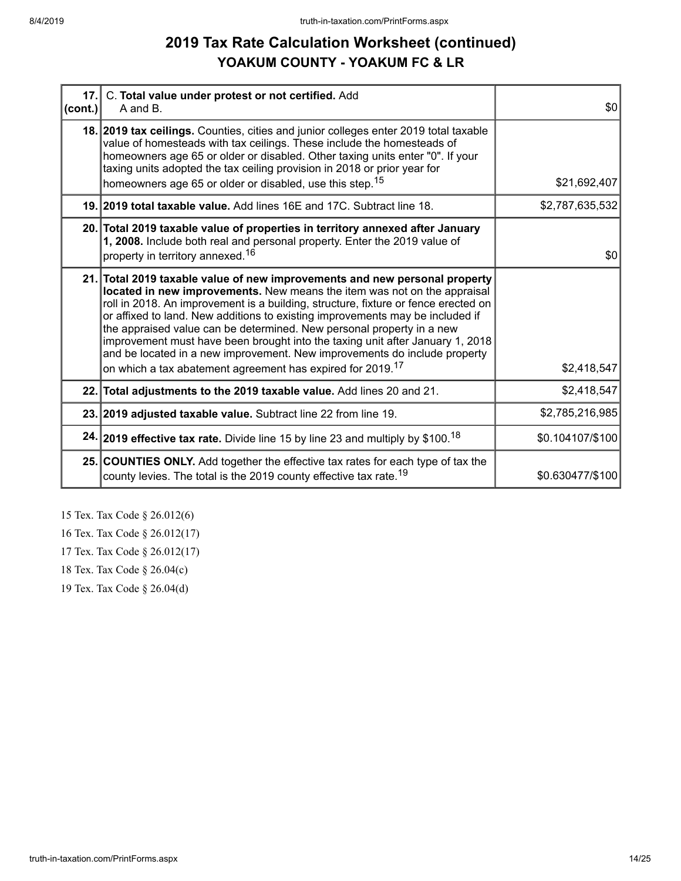# **2019 Tax Rate Calculation Worksheet (continued) YOAKUM COUNTY - YOAKUM FC & LR**

| cont. | 17. C. Total value under protest or not certified. Add<br>A and B.                                                                                                                                                                                                                                                                                                                                                                                                                                                                                                   | \$0              |
|-------|----------------------------------------------------------------------------------------------------------------------------------------------------------------------------------------------------------------------------------------------------------------------------------------------------------------------------------------------------------------------------------------------------------------------------------------------------------------------------------------------------------------------------------------------------------------------|------------------|
|       | 18. 2019 tax ceilings. Counties, cities and junior colleges enter 2019 total taxable<br>value of homesteads with tax ceilings. These include the homesteads of<br>homeowners age 65 or older or disabled. Other taxing units enter "0". If your<br>taxing units adopted the tax ceiling provision in 2018 or prior year for                                                                                                                                                                                                                                          |                  |
|       | homeowners age 65 or older or disabled, use this step. <sup>15</sup>                                                                                                                                                                                                                                                                                                                                                                                                                                                                                                 | \$21,692,407     |
|       | 19. 2019 total taxable value. Add lines 16E and 17C. Subtract line 18.                                                                                                                                                                                                                                                                                                                                                                                                                                                                                               | \$2,787,635,532  |
|       | 20. Total 2019 taxable value of properties in territory annexed after January<br>1, 2008. Include both real and personal property. Enter the 2019 value of<br>property in territory annexed. <sup>16</sup>                                                                                                                                                                                                                                                                                                                                                           | \$0              |
|       |                                                                                                                                                                                                                                                                                                                                                                                                                                                                                                                                                                      |                  |
|       | 21. Total 2019 taxable value of new improvements and new personal property<br>located in new improvements. New means the item was not on the appraisal<br>roll in 2018. An improvement is a building, structure, fixture or fence erected on<br>or affixed to land. New additions to existing improvements may be included if<br>the appraised value can be determined. New personal property in a new<br>improvement must have been brought into the taxing unit after January 1, 2018<br>and be located in a new improvement. New improvements do include property |                  |
|       | on which a tax abatement agreement has expired for 2019. <sup>17</sup>                                                                                                                                                                                                                                                                                                                                                                                                                                                                                               | \$2,418,547      |
|       | 22. Total adjustments to the 2019 taxable value. Add lines 20 and 21.                                                                                                                                                                                                                                                                                                                                                                                                                                                                                                | \$2,418,547      |
|       | 23. 2019 adjusted taxable value. Subtract line 22 from line 19.                                                                                                                                                                                                                                                                                                                                                                                                                                                                                                      | \$2,785,216,985  |
|       | 24. 2019 effective tax rate. Divide line 15 by line 23 and multiply by \$100. <sup>18</sup>                                                                                                                                                                                                                                                                                                                                                                                                                                                                          | \$0.104107/\$100 |
|       | 25. COUNTIES ONLY. Add together the effective tax rates for each type of tax the<br>county levies. The total is the 2019 county effective tax rate. <sup>19</sup>                                                                                                                                                                                                                                                                                                                                                                                                    | \$0.630477/\$100 |

15 Tex. Tax Code § 26.012(6)

16 Tex. Tax Code § 26.012(17)

17 Tex. Tax Code § 26.012(17)

18 Tex. Tax Code § 26.04(c)

19 Tex. Tax Code § 26.04(d)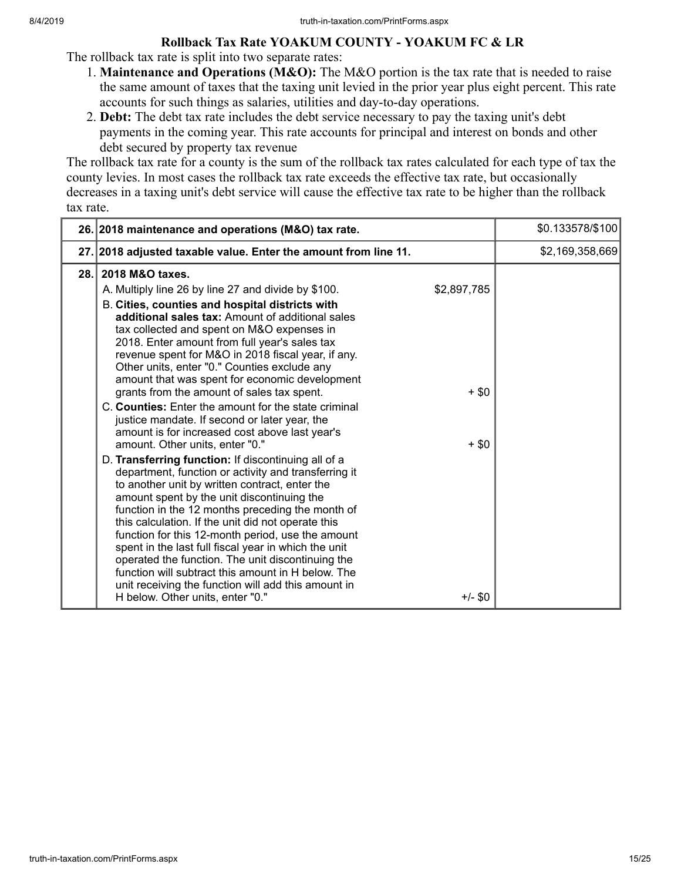## **Rollback Tax Rate YOAKUM COUNTY - YOAKUM FC & LR**

The rollback tax rate is split into two separate rates:

- 1. **Maintenance and Operations (M&O):** The M&O portion is the tax rate that is needed to raise the same amount of taxes that the taxing unit levied in the prior year plus eight percent. This rate accounts for such things as salaries, utilities and day-to-day operations.
- 2. **Debt:** The debt tax rate includes the debt service necessary to pay the taxing unit's debt payments in the coming year. This rate accounts for principal and interest on bonds and other debt secured by property tax revenue

The rollback tax rate for a county is the sum of the rollback tax rates calculated for each type of tax the county levies. In most cases the rollback tax rate exceeds the effective tax rate, but occasionally decreases in a taxing unit's debt service will cause the effective tax rate to be higher than the rollback tax rate.

|      | 26. 2018 maintenance and operations (M&O) tax rate.                                                                                                                                                                                                                                                                                                                                                                                                                                                                                                                                                                                                                                                                                                                                                                                                                                                                                                                                                                                                                                                                                                                                                                                                                                                                                                                            | \$0.133578/\$100 |
|------|--------------------------------------------------------------------------------------------------------------------------------------------------------------------------------------------------------------------------------------------------------------------------------------------------------------------------------------------------------------------------------------------------------------------------------------------------------------------------------------------------------------------------------------------------------------------------------------------------------------------------------------------------------------------------------------------------------------------------------------------------------------------------------------------------------------------------------------------------------------------------------------------------------------------------------------------------------------------------------------------------------------------------------------------------------------------------------------------------------------------------------------------------------------------------------------------------------------------------------------------------------------------------------------------------------------------------------------------------------------------------------|------------------|
|      | 27. 2018 adjusted taxable value. Enter the amount from line 11.                                                                                                                                                                                                                                                                                                                                                                                                                                                                                                                                                                                                                                                                                                                                                                                                                                                                                                                                                                                                                                                                                                                                                                                                                                                                                                                | \$2,169,358,669  |
| 28.1 | 2018 M&O taxes.<br>\$2,897,785<br>A. Multiply line 26 by line 27 and divide by \$100.<br>B. Cities, counties and hospital districts with<br>additional sales tax: Amount of additional sales<br>tax collected and spent on M&O expenses in<br>2018. Enter amount from full year's sales tax<br>revenue spent for M&O in 2018 fiscal year, if any.<br>Other units, enter "0." Counties exclude any<br>amount that was spent for economic development<br>grants from the amount of sales tax spent.<br>$+$ \$0<br>C. Counties: Enter the amount for the state criminal<br>justice mandate. If second or later year, the<br>amount is for increased cost above last year's<br>amount. Other units, enter "0."<br>$+$ \$0<br>D. Transferring function: If discontinuing all of a<br>department, function or activity and transferring it<br>to another unit by written contract, enter the<br>amount spent by the unit discontinuing the<br>function in the 12 months preceding the month of<br>this calculation. If the unit did not operate this<br>function for this 12-month period, use the amount<br>spent in the last full fiscal year in which the unit<br>operated the function. The unit discontinuing the<br>function will subtract this amount in H below. The<br>unit receiving the function will add this amount in<br>H below. Other units, enter "0."<br>$+/-$ \$0 |                  |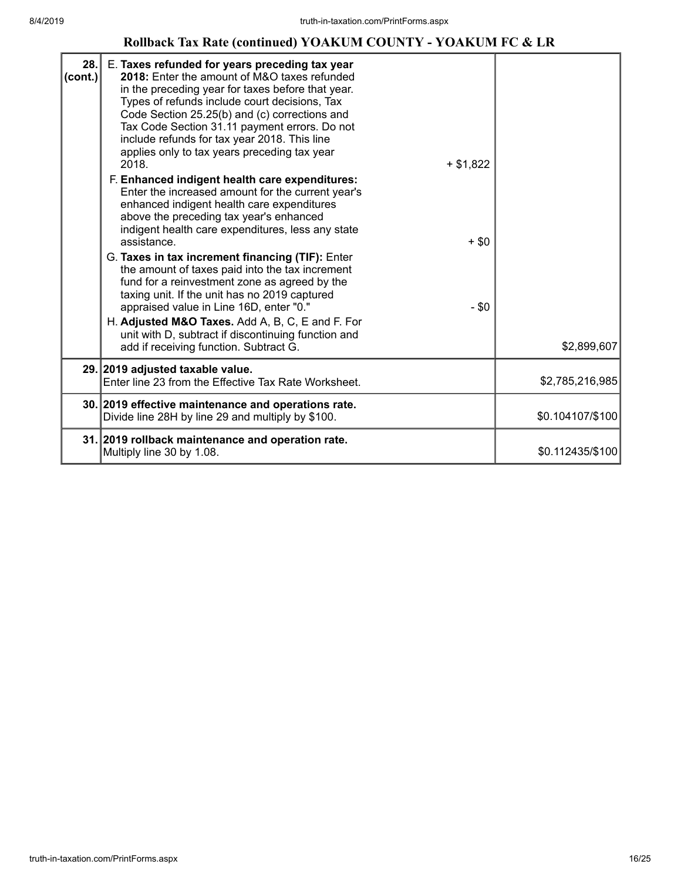## **Rollback Tax Rate (continued) YOAKUM COUNTY - YOAKUM FC & LR**

| 28.<br>$ cont.$ ) | E. Taxes refunded for years preceding tax year<br>2018: Enter the amount of M&O taxes refunded<br>in the preceding year for taxes before that year.<br>Types of refunds include court decisions, Tax<br>Code Section 25.25(b) and (c) corrections and<br>Tax Code Section 31.11 payment errors. Do not<br>include refunds for tax year 2018. This line<br>applies only to tax years preceding tax year<br>2018.<br>$+ $1,822$<br>F. Enhanced indigent health care expenditures:<br>Enter the increased amount for the current year's<br>enhanced indigent health care expenditures<br>above the preceding tax year's enhanced<br>indigent health care expenditures, less any state<br>assistance.<br>$+ $0$<br>G. Taxes in tax increment financing (TIF): Enter<br>the amount of taxes paid into the tax increment<br>fund for a reinvestment zone as agreed by the<br>taxing unit. If the unit has no 2019 captured<br>appraised value in Line 16D, enter "0."<br>$-$ \$0<br>H. Adjusted M&O Taxes. Add A, B, C, E and F. For<br>unit with D, subtract if discontinuing function and<br>add if receiving function. Subtract G. | \$2,899,607      |
|-------------------|---------------------------------------------------------------------------------------------------------------------------------------------------------------------------------------------------------------------------------------------------------------------------------------------------------------------------------------------------------------------------------------------------------------------------------------------------------------------------------------------------------------------------------------------------------------------------------------------------------------------------------------------------------------------------------------------------------------------------------------------------------------------------------------------------------------------------------------------------------------------------------------------------------------------------------------------------------------------------------------------------------------------------------------------------------------------------------------------------------------------------------|------------------|
|                   | 29. 2019 adjusted taxable value.<br>Enter line 23 from the Effective Tax Rate Worksheet.                                                                                                                                                                                                                                                                                                                                                                                                                                                                                                                                                                                                                                                                                                                                                                                                                                                                                                                                                                                                                                        | \$2,785,216,985  |
|                   | 30. 2019 effective maintenance and operations rate.                                                                                                                                                                                                                                                                                                                                                                                                                                                                                                                                                                                                                                                                                                                                                                                                                                                                                                                                                                                                                                                                             |                  |
|                   | Divide line 28H by line 29 and multiply by \$100.                                                                                                                                                                                                                                                                                                                                                                                                                                                                                                                                                                                                                                                                                                                                                                                                                                                                                                                                                                                                                                                                               | \$0.104107/\$100 |
|                   | 31. 2019 rollback maintenance and operation rate.<br>Multiply line 30 by 1.08.                                                                                                                                                                                                                                                                                                                                                                                                                                                                                                                                                                                                                                                                                                                                                                                                                                                                                                                                                                                                                                                  | \$0.112435/\$100 |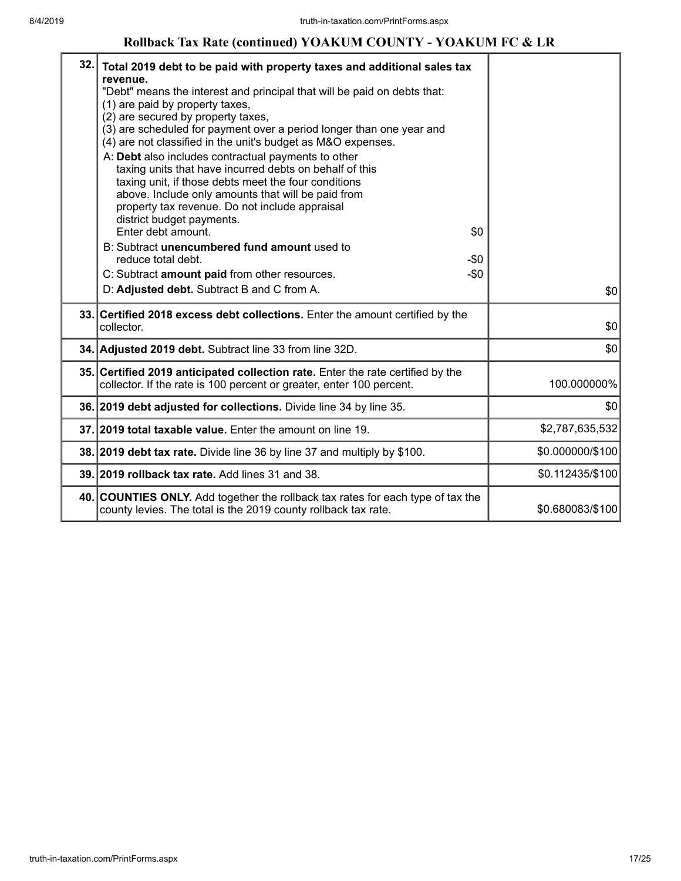## **Rollback Tax Rate (continued) YOAKUM COUNTY - YOAKUM FC & LR**

| 32. | Total 2019 debt to be paid with property taxes and additional sales tax<br>revenue.<br>"Debt" means the interest and principal that will be paid on debts that:<br>(1) are paid by property taxes,<br>(2) are secured by property taxes,<br>(3) are scheduled for payment over a period longer than one year and<br>(4) are not classified in the unit's budget as M&O expenses.<br>A: Debt also includes contractual payments to other<br>taxing units that have incurred debts on behalf of this<br>taxing unit, if those debts meet the four conditions<br>above. Include only amounts that will be paid from<br>property tax revenue. Do not include appraisal<br>district budget payments.<br>Enter debt amount.<br>B: Subtract unencumbered fund amount used to<br>reduce total debt.<br>C: Subtract amount paid from other resources.<br>D: Adjusted debt. Subtract B and C from A. | \$0<br>$-50$<br>$-\$0$ | \$0              |
|-----|--------------------------------------------------------------------------------------------------------------------------------------------------------------------------------------------------------------------------------------------------------------------------------------------------------------------------------------------------------------------------------------------------------------------------------------------------------------------------------------------------------------------------------------------------------------------------------------------------------------------------------------------------------------------------------------------------------------------------------------------------------------------------------------------------------------------------------------------------------------------------------------------|------------------------|------------------|
|     | 33. Certified 2018 excess debt collections. Enter the amount certified by the<br>collector.                                                                                                                                                                                                                                                                                                                                                                                                                                                                                                                                                                                                                                                                                                                                                                                                |                        | \$0              |
|     | 34. Adjusted 2019 debt. Subtract line 33 from line 32D.                                                                                                                                                                                                                                                                                                                                                                                                                                                                                                                                                                                                                                                                                                                                                                                                                                    |                        | \$0              |
|     | 35. Certified 2019 anticipated collection rate. Enter the rate certified by the<br>collector. If the rate is 100 percent or greater, enter 100 percent.                                                                                                                                                                                                                                                                                                                                                                                                                                                                                                                                                                                                                                                                                                                                    |                        | 100.000000%      |
|     | 36. 2019 debt adjusted for collections. Divide line 34 by line 35.                                                                                                                                                                                                                                                                                                                                                                                                                                                                                                                                                                                                                                                                                                                                                                                                                         |                        | \$0              |
|     | 37. 2019 total taxable value. Enter the amount on line 19.                                                                                                                                                                                                                                                                                                                                                                                                                                                                                                                                                                                                                                                                                                                                                                                                                                 |                        | \$2,787,635,532  |
|     | 38. 2019 debt tax rate. Divide line 36 by line 37 and multiply by \$100.                                                                                                                                                                                                                                                                                                                                                                                                                                                                                                                                                                                                                                                                                                                                                                                                                   |                        | \$0.000000/\$100 |
|     | 39. 2019 rollback tax rate. Add lines 31 and 38.                                                                                                                                                                                                                                                                                                                                                                                                                                                                                                                                                                                                                                                                                                                                                                                                                                           |                        | \$0.112435/\$100 |
|     | 40. COUNTIES ONLY. Add together the rollback tax rates for each type of tax the<br>county levies. The total is the 2019 county rollback tax rate.                                                                                                                                                                                                                                                                                                                                                                                                                                                                                                                                                                                                                                                                                                                                          |                        | \$0.680083/\$100 |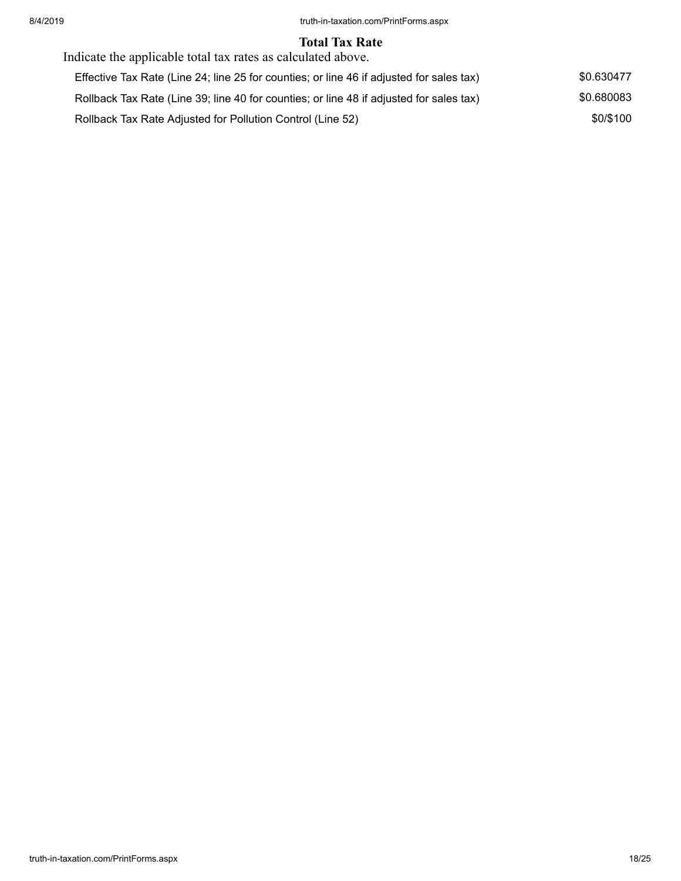#### **Total Tax Rate**

| Indicate the applicable total tax rates as calculated above.                             |            |
|------------------------------------------------------------------------------------------|------------|
| Effective Tax Rate (Line 24; line 25 for counties; or line 46 if adjusted for sales tax) | \$0.630477 |
| Rollback Tax Rate (Line 39; line 40 for counties; or line 48 if adjusted for sales tax)  | \$0.680083 |
| Rollback Tax Rate Adjusted for Pollution Control (Line 52)                               | \$0/\$100  |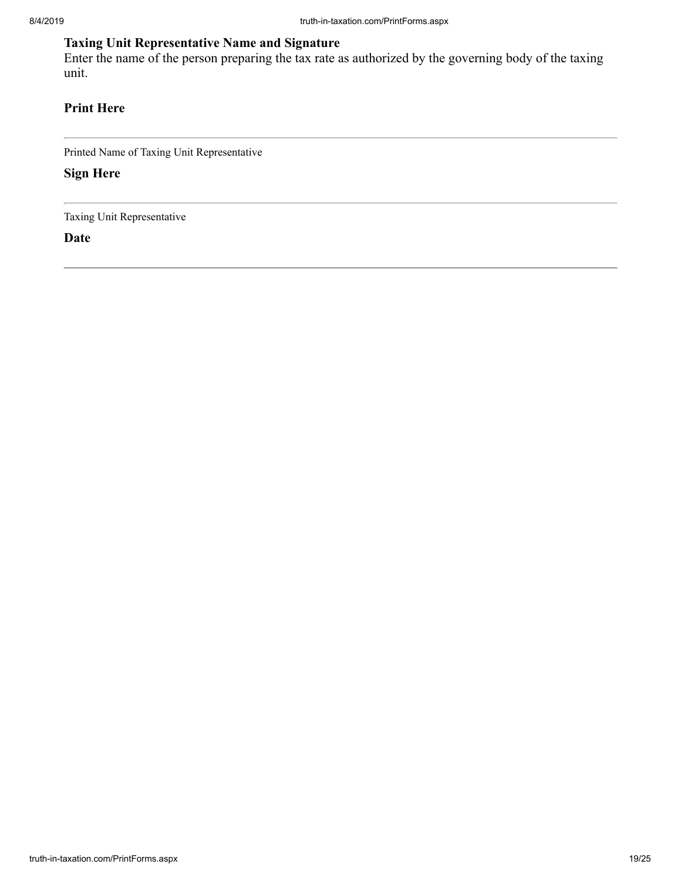# **Taxing Unit Representative Name and Signature**

Enter the name of the person preparing the tax rate as authorized by the governing body of the taxing unit.

# **Print Here**

Printed Name of Taxing Unit Representative

**Sign Here**

Taxing Unit Representative

**Date**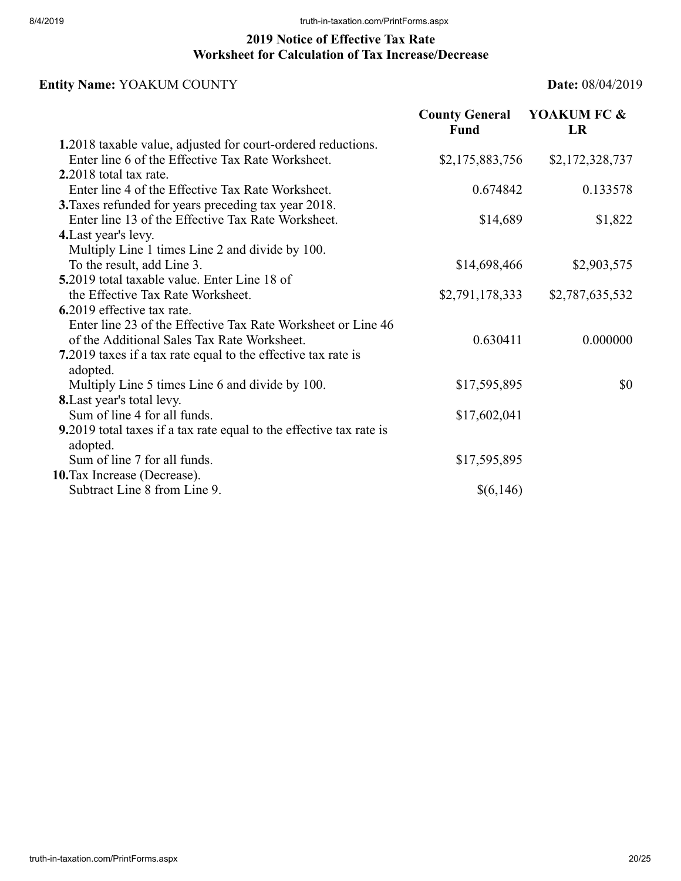# **2019 Notice of Effective Tax Rate Worksheet for Calculation of Tax Increase/Decrease**

# **Entity Name:** YOAKUM COUNTY **Date:** 08/04/2019

|                                                                                 | <b>County General</b><br>Fund | YOAKUM FC &<br><b>LR</b> |
|---------------------------------------------------------------------------------|-------------------------------|--------------------------|
| 1.2018 taxable value, adjusted for court-ordered reductions.                    |                               |                          |
| Enter line 6 of the Effective Tax Rate Worksheet.                               | \$2,175,883,756               | \$2,172,328,737          |
| 2.2018 total tax rate.                                                          |                               |                          |
| Enter line 4 of the Effective Tax Rate Worksheet.                               | 0.674842                      | 0.133578                 |
| 3. Taxes refunded for years preceding tax year 2018.                            |                               |                          |
| Enter line 13 of the Effective Tax Rate Worksheet.                              | \$14,689                      | \$1,822                  |
| 4. Last year's levy.                                                            |                               |                          |
| Multiply Line 1 times Line 2 and divide by 100.                                 |                               |                          |
| To the result, add Line 3.                                                      | \$14,698,466                  | \$2,903,575              |
| 5.2019 total taxable value. Enter Line 18 of                                    |                               |                          |
| the Effective Tax Rate Worksheet.                                               | \$2,791,178,333               | \$2,787,635,532          |
| 6.2019 effective tax rate.                                                      |                               |                          |
| Enter line 23 of the Effective Tax Rate Worksheet or Line 46                    |                               |                          |
| of the Additional Sales Tax Rate Worksheet.                                     | 0.630411                      | 0.000000                 |
| 7.2019 taxes if a tax rate equal to the effective tax rate is                   |                               |                          |
| adopted.                                                                        |                               |                          |
| Multiply Line 5 times Line 6 and divide by 100.                                 | \$17,595,895                  | \$0                      |
| 8. Last year's total levy.                                                      |                               |                          |
| Sum of line 4 for all funds.                                                    | \$17,602,041                  |                          |
| 9.2019 total taxes if a tax rate equal to the effective tax rate is<br>adopted. |                               |                          |
| Sum of line 7 for all funds.                                                    | \$17,595,895                  |                          |
| 10. Tax Increase (Decrease).                                                    |                               |                          |
| Subtract Line 8 from Line 9.                                                    | \$(6,146)                     |                          |
|                                                                                 |                               |                          |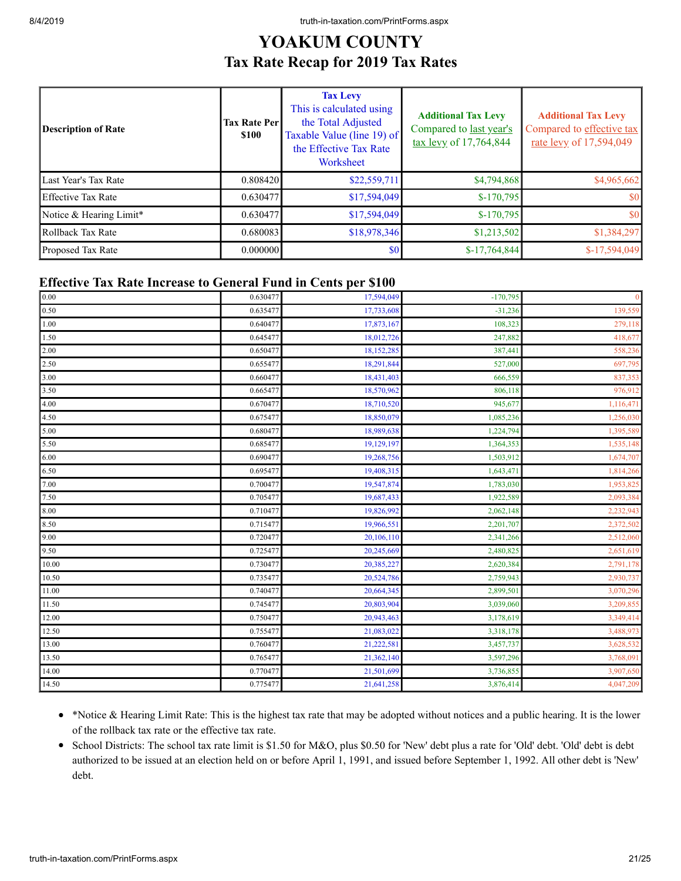# **YOAKUM COUNTY Tax Rate Recap for 2019 Tax Rates**

| Description of Rate     | <b>Tax Rate Per</b><br><b>\$100</b> | <b>Tax Levy</b><br>This is calculated using<br>the Total Adjusted<br>Taxable Value (line 19) of<br>the Effective Tax Rate<br>Worksheet | <b>Additional Tax Levy</b><br>Compared to last year's<br>$\frac{\text{tax} \text{levy}}{17,764,844}$ | <b>Additional Tax Levy</b><br>Compared to effective tax<br>rate levy of 17,594,049 |
|-------------------------|-------------------------------------|----------------------------------------------------------------------------------------------------------------------------------------|------------------------------------------------------------------------------------------------------|------------------------------------------------------------------------------------|
| Last Year's Tax Rate    | 0.808420                            | \$22,559,711                                                                                                                           | \$4,794,868                                                                                          | \$4,965,662                                                                        |
| Effective Tax Rate      | 0.630477                            | \$17,594,049                                                                                                                           | $$-170,795$                                                                                          | \$0                                                                                |
| Notice & Hearing Limit* | 0.630477                            | \$17,594,049                                                                                                                           | $$-170,795$                                                                                          | \$0                                                                                |
| Rollback Tax Rate       | 0.680083                            | \$18,978,346                                                                                                                           | \$1,213,502                                                                                          | \$1,384,297                                                                        |
| Proposed Tax Rate       | 0.000000                            | \$0                                                                                                                                    | $$-17,764,844$                                                                                       | $$-17,594,049$                                                                     |

#### **Effective Tax Rate Increase to General Fund in Cents per \$100**

| 0.00  | 0.630477 | 17,594,049 | $-170,795$ | $\overline{0}$ |
|-------|----------|------------|------------|----------------|
| 0.50  | 0.635477 | 17,733,608 | $-31,236$  | 139,559        |
| 1.00  | 0.640477 | 17,873,167 | 108,323    | 279,118        |
| 1.50  | 0.645477 | 18,012,726 | 247,882    | 418,677        |
| 2.00  | 0.650477 | 18,152,285 | 387,441    | 558,236        |
| 2.50  | 0.655477 | 18,291,844 | 527,000    | 697,795        |
| 3.00  | 0.660477 | 18,431,403 | 666,559    | 837,353        |
| 3.50  | 0.665477 | 18,570,962 | 806,118    | 976,912        |
| 4.00  | 0.670477 | 18,710,520 | 945,677    | 1,116,471      |
| 4.50  | 0.675477 | 18,850,079 | 1,085,236  | 1,256,030      |
| 5.00  | 0.680477 | 18,989,638 | 1,224,794  | 1,395,589      |
| 5.50  | 0.685477 | 19,129,197 | 1,364,353  | 1,535,148      |
| 6.00  | 0.690477 | 19,268,756 | 1,503,912  | 1,674,707      |
| 6.50  | 0.695477 | 19,408,315 | 1,643,471  | 1,814,266      |
| 7.00  | 0.700477 | 19,547,874 | 1,783,030  | 1,953,825      |
| 7.50  | 0.705477 | 19,687,433 | 1,922,589  | 2,093,384      |
| 8.00  | 0.710477 | 19,826,992 | 2,062,148  | 2,232,943      |
| 8.50  | 0.715477 | 19,966,551 | 2,201,707  | 2,372,502      |
| 9.00  | 0.720477 | 20,106,110 | 2,341,266  | 2,512,060      |
| 9.50  | 0.725477 | 20,245,669 | 2,480,825  | 2,651,619      |
| 10.00 | 0.730477 | 20,385,227 | 2,620,384  | 2,791,178      |
| 10.50 | 0.735477 | 20,524,786 | 2,759,943  | 2,930,737      |
| 11.00 | 0.740477 | 20,664,345 | 2,899,501  | 3,070,296      |
| 11.50 | 0.745477 | 20,803,904 | 3,039,060  | 3,209,855      |
| 12.00 | 0.750477 | 20,943,463 | 3,178,619  | 3,349,414      |
| 12.50 | 0.755477 | 21,083,022 | 3,318,178  | 3,488,973      |
| 13.00 | 0.760477 | 21,222,581 | 3,457,737  | 3,628,532      |
| 13.50 | 0.765477 | 21,362,140 | 3,597,296  | 3,768,091      |
| 14.00 | 0.770477 | 21,501,699 | 3,736,855  | 3,907,650      |
| 14.50 | 0.775477 | 21,641,258 | 3,876,414  | 4,047,209      |

- \*Notice & Hearing Limit Rate: This is the highest tax rate that may be adopted without notices and a public hearing. It is the lower of the rollback tax rate or the effective tax rate.
- School Districts: The school tax rate limit is \$1.50 for M&O, plus \$0.50 for 'New' debt plus a rate for 'Old' debt. 'Old' debt is debt authorized to be issued at an election held on or before April 1, 1991, and issued before September 1, 1992. All other debt is 'New' debt.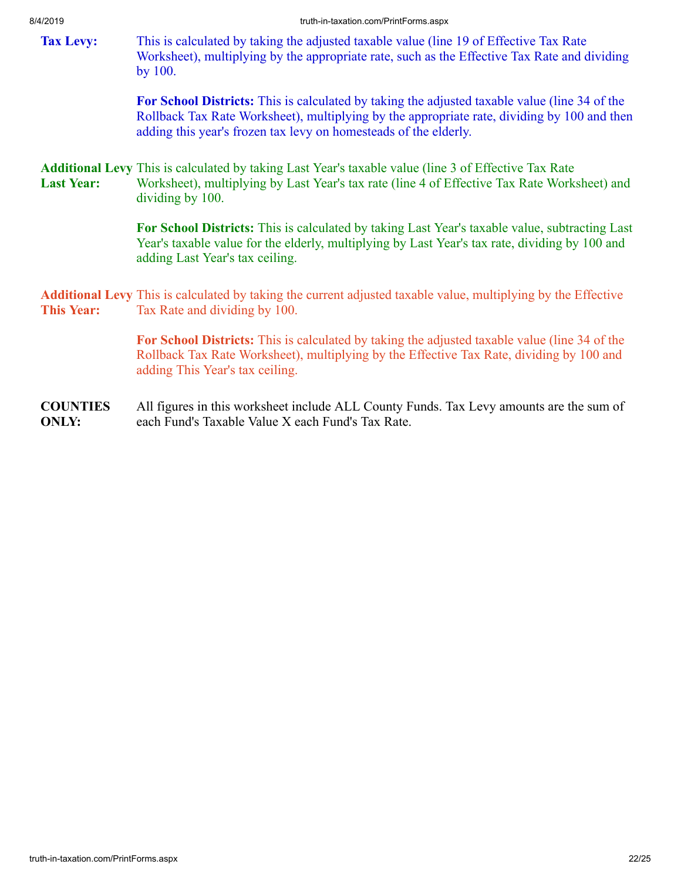<span id="page-21-1"></span><span id="page-21-0"></span>

| יטו שבו די        | uuu-ili-laxalioittoitiin tiitu olitistaspa                                                                                                                                                                                                                       |
|-------------------|------------------------------------------------------------------------------------------------------------------------------------------------------------------------------------------------------------------------------------------------------------------|
| <b>Tax Levy:</b>  | This is calculated by taking the adjusted taxable value (line 19 of Effective Tax Rate)<br>Worksheet), multiplying by the appropriate rate, such as the Effective Tax Rate and dividing<br>by 100.                                                               |
|                   | For School Districts: This is calculated by taking the adjusted taxable value (line 34 of the<br>Rollback Tax Rate Worksheet), multiplying by the appropriate rate, dividing by 100 and then<br>adding this year's frozen tax levy on homesteads of the elderly. |
| <b>Last Year:</b> | <b>Additional Levy</b> This is calculated by taking Last Year's taxable value (line 3 of Effective Tax Rate<br>Worksheet), multiplying by Last Year's tax rate (line 4 of Effective Tax Rate Worksheet) and<br>dividing by 100.                                  |
|                   | For School Districts: This is calculated by taking Last Year's taxable value, subtracting Last<br>Year's taxable value for the elderly, multiplying by Last Year's tax rate, dividing by 100 and<br>adding Last Year's tax ceiling.                              |
| <b>This Year:</b> | <b>Additional Levy</b> This is calculated by taking the current adjusted taxable value, multiplying by the Effective<br>Tax Rate and dividing by 100.                                                                                                            |

<span id="page-21-2"></span>**For School Districts:** This is calculated by taking the adjusted taxable value (line 34 of the Rollback Tax Rate Worksheet), multiplying by the Effective Tax Rate, dividing by 100 and adding This Year's tax ceiling.

**COUNTIES ONLY:** All figures in this worksheet include ALL County Funds. Tax Levy amounts are the sum of each Fund's Taxable Value X each Fund's Tax Rate.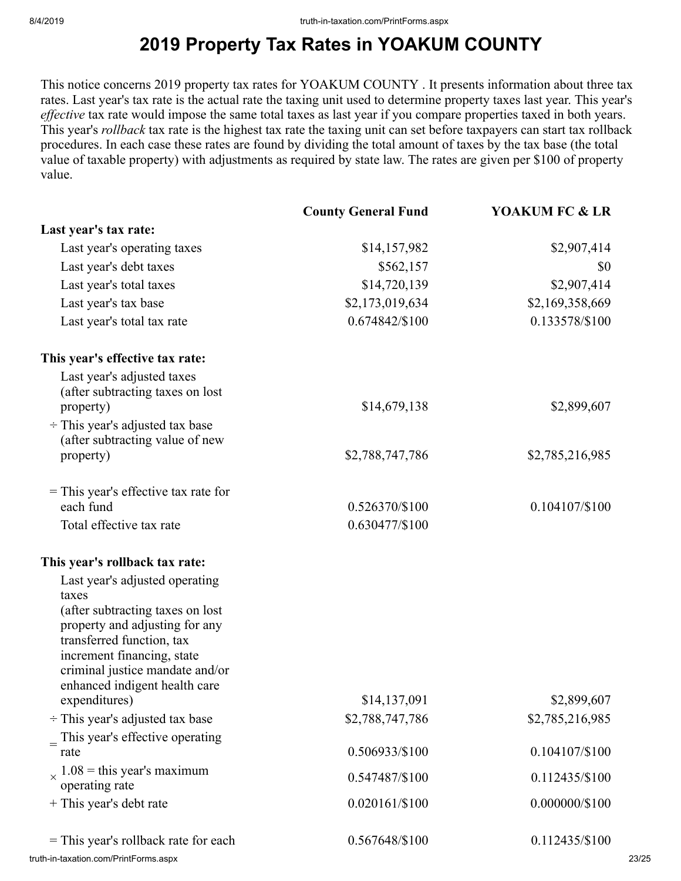# **2019 Property Tax Rates in YOAKUM COUNTY**

This notice concerns 2019 property tax rates for YOAKUM COUNTY . It presents information about three tax rates. Last year's tax rate is the actual rate the taxing unit used to determine property taxes last year. This year's *effective* tax rate would impose the same total taxes as last year if you compare properties taxed in both years. This year's *rollback* tax rate is the highest tax rate the taxing unit can set before taxpayers can start tax rollback procedures. In each case these rates are found by dividing the total amount of taxes by the tax base (the total value of taxable property) with adjustments as required by state law. The rates are given per \$100 of property value.

|                                                                                            | <b>County General Fund</b> | <b>YOAKUM FC &amp; LR</b> |       |
|--------------------------------------------------------------------------------------------|----------------------------|---------------------------|-------|
| Last year's tax rate:                                                                      |                            |                           |       |
| Last year's operating taxes                                                                | \$14,157,982               | \$2,907,414               |       |
| Last year's debt taxes                                                                     | \$562,157                  | \$0                       |       |
| Last year's total taxes                                                                    | \$14,720,139               | \$2,907,414               |       |
| Last year's tax base                                                                       | \$2,173,019,634            | \$2,169,358,669           |       |
| Last year's total tax rate                                                                 | 0.674842/\$100             | 0.133578/\$100            |       |
| This year's effective tax rate:                                                            |                            |                           |       |
| Last year's adjusted taxes<br>(after subtracting taxes on lost<br>property)                | \$14,679,138               | \$2,899,607               |       |
| $\div$ This year's adjusted tax base<br>(after subtracting value of new<br>property)       | \$2,788,747,786            | \$2,785,216,985           |       |
| $=$ This year's effective tax rate for<br>each fund                                        | 0.526370/\$100             | 0.104107/\$100            |       |
| Total effective tax rate                                                                   | 0.630477/\$100             |                           |       |
| This year's rollback tax rate:                                                             |                            |                           |       |
| Last year's adjusted operating<br>taxes                                                    |                            |                           |       |
| (after subtracting taxes on lost<br>property and adjusting for any                         |                            |                           |       |
| transferred function, tax<br>increment financing, state<br>criminal justice mandate and/or |                            |                           |       |
| enhanced indigent health care<br>expenditures)                                             | \$14,137,091               | \$2,899,607               |       |
| $\div$ This year's adjusted tax base                                                       | \$2,788,747,786            | \$2,785,216,985           |       |
| $\equiv$ This year's effective operating                                                   |                            |                           |       |
| rate                                                                                       | 0.506933/\$100             | 0.104107/\$100            |       |
| $\chi$ 1.08 = this year's maximum<br>operating rate                                        | 0.547487/\$100             | 0.112435/\$100            |       |
| + This year's debt rate                                                                    | 0.020161/\$100             | $0.000000/\$100$          |       |
| = This year's rollback rate for each                                                       | 0.567648/\$100             | 0.112435/\$100            |       |
| truth-in-taxation.com/PrintForms.aspx                                                      |                            |                           | 23/25 |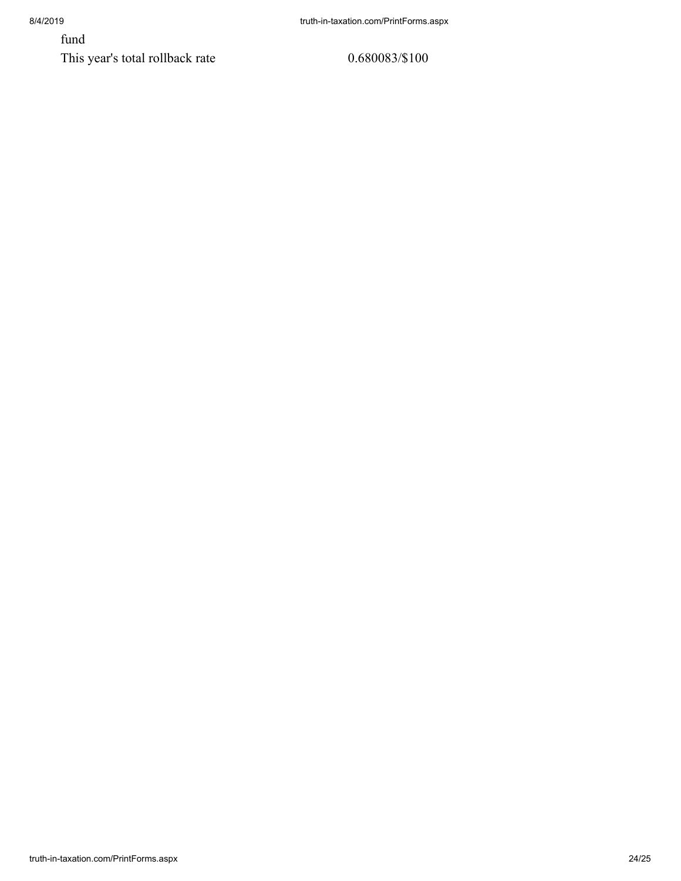fund

This year's total rollback rate 0.680083/\$100